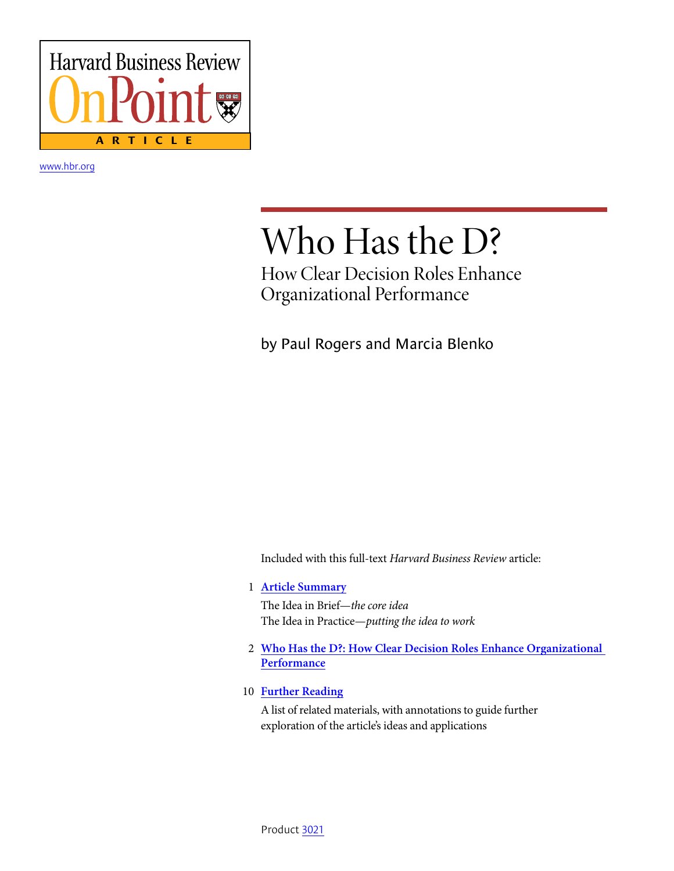

[www.hbr.org](http://www.hbr.org)

# Who Has the D?

How Clear Decision Roles Enhance Organizational Performance

by Paul Rogers and Marcia Blenko

Included with this full-text *Harvard Business Review* article:

1 **[Article Summary](#page-1-0)**

The Idea in Brief—*the core idea* The Idea in Practice—*putting the idea to work*

- 2 **[Who Has the D?: How Clear Decision Roles Enhance Organizational](#page-2-0)  [Performance](#page-2-0)**
- 10 **[Further Reading](#page-10-0)**

A list of related materials, with annotations to guide further exploration of the article's ideas and applications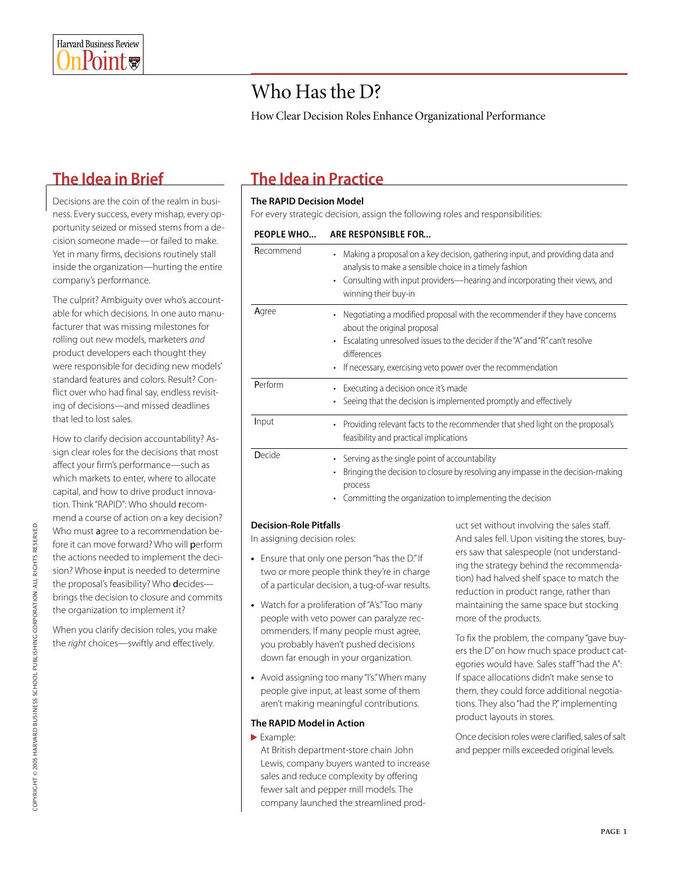## Who Has the D?

How Clear Decision Roles Enhance Organizational Performance

<span id="page-1-0"></span>Decisions are the coin of the realm in business. Every success, every mishap, every opportunity seized or missed stems from a decision someone made—or failed to make. Yet in many firms, decisions routinely stall inside the organization—hurting the entire company's performance.

The culprit? Ambiguity over who's accountable for which decisions. In one auto manufacturer that was missing milestones for rolling out new models, marketers and product developers each thought they were responsible for deciding new models' standard features and colors. Result? Conflict over who had final say, endless revisiting of decisions—and missed deadlines that led to lost sales.

How to clarify decision accountability? Assign clear roles for the decisions that most affect your firm's performance—such as which markets to enter, where to allocate capital, and how to drive product innovation. Think "RAPID": Who should recommend a course of action on a key decision? Who must agree to a recommendation before it can move forward? Who will perform the actions needed to implement the decision? Whose input is needed to determine the proposal's feasibility? Who decides brings the decision to closure and commits the organization to implement it?

When you clarify decision roles, you make the right choices—swiftly and effectively.

## **The Idea in Brief The Idea in Practice**

### **The RAPID Decision Model**

For every strategic decision, assign the following roles and responsibilities:

| <b>PEOPLE WHO</b> | ARE RESPONSIBLE FOR                                                                                                                                                                                                                                                                  |
|-------------------|--------------------------------------------------------------------------------------------------------------------------------------------------------------------------------------------------------------------------------------------------------------------------------------|
| Recommend         | Making a proposal on a key decision, gathering input, and providing data and<br>analysis to make a sensible choice in a timely fashion<br>• Consulting with input providers—hearing and incorporating their views, and<br>winning their buy-in                                       |
| Agree             | Negotiating a modified proposal with the recommender if they have concerns<br>about the original proposal<br>Escalating unresolved issues to the decider if the "A" and "R" can't resolve<br>$\bullet$<br>differences<br>If necessary, exercising veto power over the recommendation |
| Perform           | Executing a decision once it's made<br>Seeing that the decision is implemented promptly and effectively                                                                                                                                                                              |
| Input             | Providing relevant facts to the recommender that shed light on the proposal's<br>feasibility and practical implications                                                                                                                                                              |
| Decide            | Serving as the single point of accountability<br>Bringing the decision to closure by resolving any impasse in the decision-making<br>process<br>Committing the organization to implementing the decision<br>$\bullet$                                                                |

#### **Decision-Role Pitfalls**

In assigning decision roles:

- **•** Ensure that only one person "has the D." If two or more people think they're in charge of a particular decision, a tug-of-war results.
- **•** Watch for a proliferation of "A's." Too many people with veto power can paralyze recommenders. If many people must agree, you probably haven't pushed decisions down far enough in your organization.
- **•** Avoid assigning too many "I's." When many people give input, at least some of them aren't making meaningful contributions.

#### **The RAPID Model in Action**

Example:

At British department-store chain John Lewis, company buyers wanted to increase sales and reduce complexity by offering fewer salt and pepper mill models. The company launched the streamlined product set without involving the sales staff. And sales fell. Upon visiting the stores, buyers saw that salespeople (not understanding the strategy behind the recommendation) had halved shelf space to match the reduction in product range, rather than maintaining the same space but stocking more of the products.

To fix the problem, the company "gave buyers the D" on how much space product categories would have. Sales staff "had the A": If space allocations didn't make sense to them, they could force additional negotiations. They also "had the P," implementing product layouts in stores.

Once decision roles were clarified, sales of salt and pepper mills exceeded original levels.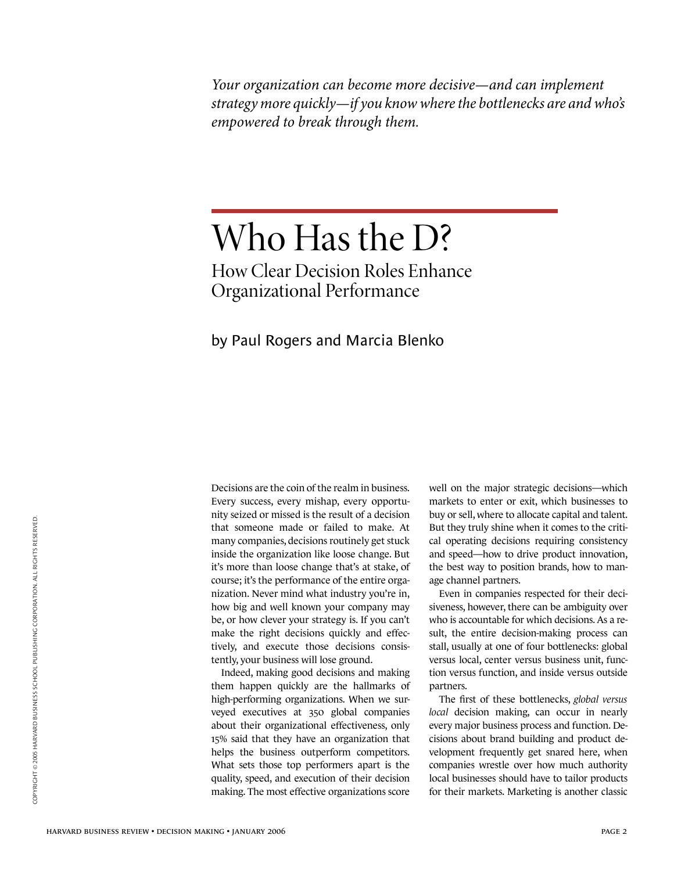*Your organization can become more decisive—and can implement strategy more quickly—if you know where the bottlenecks are and who's empowered to break through them.* 

## Who Has the D?

How Clear Decision Roles Enhance Organizational Performance

by Paul Rogers and Marcia Blenko

<span id="page-2-0"></span>Decisions are the coin of the realm in business. Every success, every mishap, every opportunity seized or missed is the result of a decision that someone made or failed to make. At many companies, decisions routinely get stuck inside the organization like loose change. But it's more than loose change that's at stake, of course; it's the performance of the entire organization. Never mind what industry you're in, how big and well known your company may be, or how clever your strategy is. If you can't make the right decisions quickly and effectively, and execute those decisions consistently, your business will lose ground.

Indeed, making good decisions and making them happen quickly are the hallmarks of high-performing organizations. When we surveyed executives at 350 global companies about their organizational effectiveness, only 15% said that they have an organization that helps the business outperform competitors. What sets those top performers apart is the quality, speed, and execution of their decision making. The most effective organizations score well on the major strategic decisions—which markets to enter or exit, which businesses to buy or sell, where to allocate capital and talent. But they truly shine when it comes to the critical operating decisions requiring consistency and speed—how to drive product innovation, the best way to position brands, how to manage channel partners.

Even in companies respected for their decisiveness, however, there can be ambiguity over who is accountable for which decisions. As a result, the entire decision-making process can stall, usually at one of four bottlenecks: global versus local, center versus business unit, function versus function, and inside versus outside partners.

The first of these bottlenecks, *global versus local* decision making, can occur in nearly every major business process and function. Decisions about brand building and product development frequently get snared here, when companies wrestle over how much authority local businesses should have to tailor products for their markets. Marketing is another classic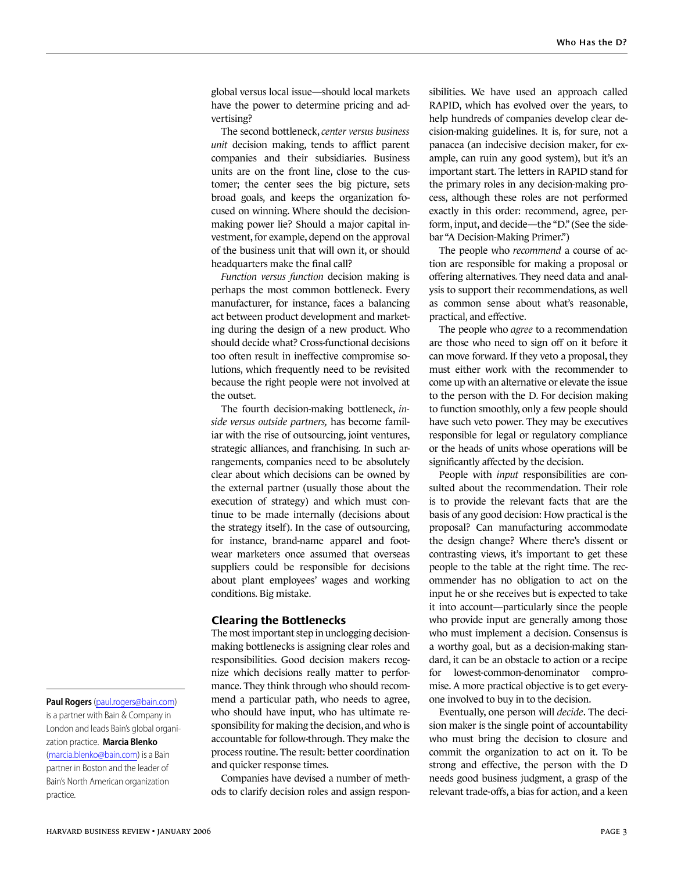global versus local issue—should local markets have the power to determine pricing and advertising?

The second bottleneck, *center versus business unit* decision making, tends to afflict parent companies and their subsidiaries. Business units are on the front line, close to the customer; the center sees the big picture, sets broad goals, and keeps the organization focused on winning. Where should the decisionmaking power lie? Should a major capital investment, for example, depend on the approval of the business unit that will own it, or should headquarters make the final call?

*Function versus function* decision making is perhaps the most common bottleneck. Every manufacturer, for instance, faces a balancing act between product development and marketing during the design of a new product. Who should decide what? Cross-functional decisions too often result in ineffective compromise solutions, which frequently need to be revisited because the right people were not involved at the outset.

The fourth decision-making bottleneck, *inside versus outside partners,* has become familiar with the rise of outsourcing, joint ventures, strategic alliances, and franchising. In such arrangements, companies need to be absolutely clear about which decisions can be owned by the external partner (usually those about the execution of strategy) and which must continue to be made internally (decisions about the strategy itself). In the case of outsourcing, for instance, brand-name apparel and footwear marketers once assumed that overseas suppliers could be responsible for decisions about plant employees' wages and working conditions. Big mistake.

#### **Clearing the Bottlenecks**

The most important step in unclogging decisionmaking bottlenecks is assigning clear roles and responsibilities. Good decision makers recognize which decisions really matter to performance. They think through who should recommend a particular path, who needs to agree, who should have input, who has ultimate responsibility for making the decision, and who is accountable for follow-through. They make the process routine. The result: better coordination and quicker response times.

Companies have devised a number of methods to clarify decision roles and assign responsibilities. We have used an approach called RAPID, which has evolved over the years, to help hundreds of companies develop clear decision-making guidelines. It is, for sure, not a panacea (an indecisive decision maker, for example, can ruin any good system), but it's an important start. The letters in RAPID stand for the primary roles in any decision-making process, although these roles are not performed exactly in this order: recommend, agree, perform, input, and decide—the "D." (See the sidebar "A Decision-Making Primer.")

The people who *recommend* a course of action are responsible for making a proposal or offering alternatives. They need data and analysis to support their recommendations, as well as common sense about what's reasonable, practical, and effective.

The people who *agree* to a recommendation are those who need to sign off on it before it can move forward. If they veto a proposal, they must either work with the recommender to come up with an alternative or elevate the issue to the person with the D. For decision making to function smoothly, only a few people should have such veto power. They may be executives responsible for legal or regulatory compliance or the heads of units whose operations will be significantly affected by the decision.

People with *input* responsibilities are consulted about the recommendation. Their role is to provide the relevant facts that are the basis of any good decision: How practical is the proposal? Can manufacturing accommodate the design change? Where there's dissent or contrasting views, it's important to get these people to the table at the right time. The recommender has no obligation to act on the input he or she receives but is expected to take it into account—particularly since the people who provide input are generally among those who must implement a decision. Consensus is a worthy goal, but as a decision-making standard, it can be an obstacle to action or a recipe for lowest-common-denominator compromise. A more practical objective is to get everyone involved to buy in to the decision.

Eventually, one person will *decide*. The decision maker is the single point of accountability who must bring the decision to closure and commit the organization to act on it. To be strong and effective, the person with the D needs good business judgment, a grasp of the relevant trade-offs, a bias for action, and a keen

#### **Paul Rogers** [\(paul.rogers@bain.com\)](mailto:paul.rogers@bain.com)

is a partner with Bain & Company in London and leads Bain's global organization practice. **Marcia Blenko** [\(marcia.blenko@bain.com\)](mailto:marcia.blenko@bain.com) is a Bain partner in Boston and the leader of Bain's North American organization practice.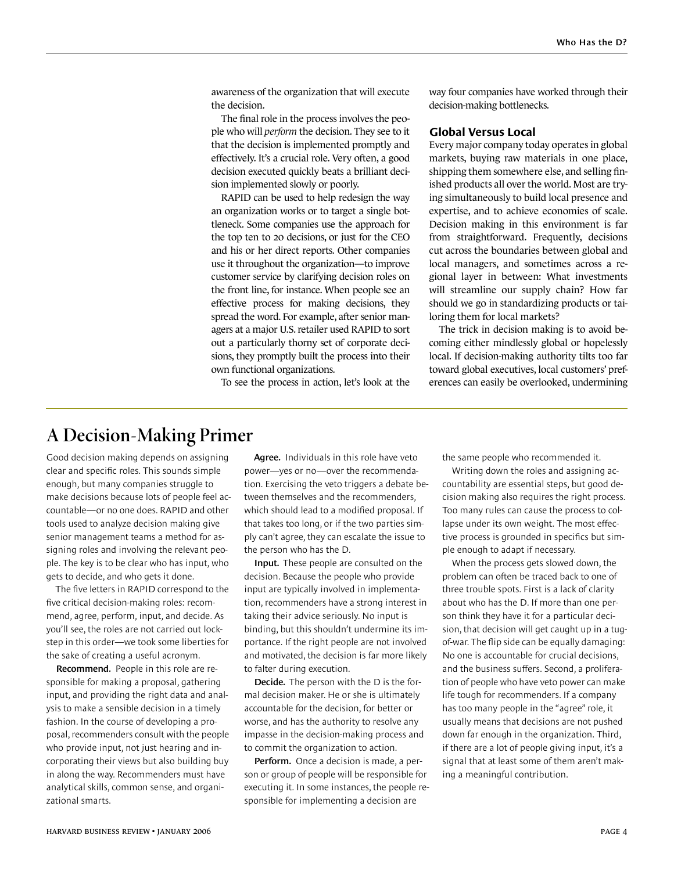awareness of the organization that will execute the decision.

The final role in the process involves the people who will *perform* the decision. They see to it that the decision is implemented promptly and effectively. It's a crucial role. Very often, a good decision executed quickly beats a brilliant decision implemented slowly or poorly.

RAPID can be used to help redesign the way an organization works or to target a single bottleneck. Some companies use the approach for the top ten to 20 decisions, or just for the CEO and his or her direct reports. Other companies use it throughout the organization—to improve customer service by clarifying decision roles on the front line, for instance. When people see an effective process for making decisions, they spread the word. For example, after senior managers at a major U.S. retailer used RAPID to sort out a particularly thorny set of corporate decisions, they promptly built the process into their own functional organizations.

To see the process in action, let's look at the

way four companies have worked through their decision-making bottlenecks.

#### **Global Versus Local**

Every major company today operates in global markets, buying raw materials in one place, shipping them somewhere else, and selling finished products all over the world. Most are trying simultaneously to build local presence and expertise, and to achieve economies of scale. Decision making in this environment is far from straightforward. Frequently, decisions cut across the boundaries between global and local managers, and sometimes across a regional layer in between: What investments will streamline our supply chain? How far should we go in standardizing products or tailoring them for local markets?

The trick in decision making is to avoid becoming either mindlessly global or hopelessly local. If decision-making authority tilts too far toward global executives, local customers' preferences can easily be overlooked, undermining

## **A Decision-Making Primer**

Good decision making depends on assigning clear and specific roles. This sounds simple enough, but many companies struggle to make decisions because lots of people feel accountable—or no one does. RAPID and other tools used to analyze decision making give senior management teams a method for assigning roles and involving the relevant people. The key is to be clear who has input, who gets to decide, and who gets it done.

The five letters in RAPID correspond to the five critical decision-making roles: recommend, agree, perform, input, and decide. As you'll see, the roles are not carried out lockstep in this order—we took some liberties for the sake of creating a useful acronym.

**Recommend.** People in this role are responsible for making a proposal, gathering input, and providing the right data and analysis to make a sensible decision in a timely fashion. In the course of developing a proposal, recommenders consult with the people who provide input, not just hearing and incorporating their views but also building buy in along the way. Recommenders must have analytical skills, common sense, and organizational smarts.

**Agree.** Individuals in this role have veto power—yes or no—over the recommendation. Exercising the veto triggers a debate between themselves and the recommenders, which should lead to a modified proposal. If that takes too long, or if the two parties simply can't agree, they can escalate the issue to the person who has the D.

**Input.** These people are consulted on the decision. Because the people who provide input are typically involved in implementation, recommenders have a strong interest in taking their advice seriously. No input is binding, but this shouldn't undermine its importance. If the right people are not involved and motivated, the decision is far more likely to falter during execution.

**Decide.** The person with the D is the formal decision maker. He or she is ultimately accountable for the decision, for better or worse, and has the authority to resolve any impasse in the decision-making process and to commit the organization to action.

**Perform.** Once a decision is made, a person or group of people will be responsible for executing it. In some instances, the people responsible for implementing a decision are

the same people who recommended it.

Writing down the roles and assigning accountability are essential steps, but good decision making also requires the right process. Too many rules can cause the process to collapse under its own weight. The most effective process is grounded in specifics but simple enough to adapt if necessary.

When the process gets slowed down, the problem can often be traced back to one of three trouble spots. First is a lack of clarity about who has the D. If more than one person think they have it for a particular decision, that decision will get caught up in a tugof-war. The flip side can be equally damaging: No one is accountable for crucial decisions, and the business suffers. Second, a proliferation of people who have veto power can make life tough for recommenders. If a company has too many people in the "agree" role, it usually means that decisions are not pushed down far enough in the organization. Third, if there are a lot of people giving input, it's a signal that at least some of them aren't making a meaningful contribution.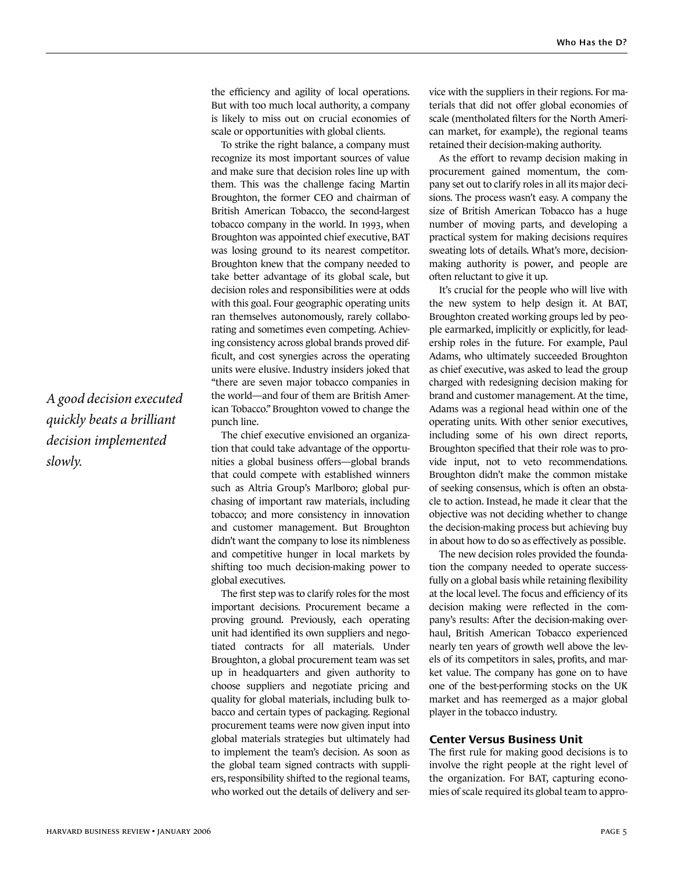the efficiency and agility of local operations. But with too much local authority, a company is likely to miss out on crucial economies of scale or opportunities with global clients.

To strike the right balance, a company must recognize its most important sources of value and make sure that decision roles line up with them. This was the challenge facing Martin Broughton, the former CEO and chairman of British American Tobacco, the second-largest tobacco company in the world. In 1993, when Broughton was appointed chief executive, BAT was losing ground to its nearest competitor. Broughton knew that the company needed to take better advantage of its global scale, but decision roles and responsibilities were at odds with this goal. Four geographic operating units ran themselves autonomously, rarely collaborating and sometimes even competing. Achieving consistency across global brands proved difficult, and cost synergies across the operating units were elusive. Industry insiders joked that "there are seven major tobacco companies in the world—and four of them are British American Tobacco." Broughton vowed to change the punch line.

The chief executive envisioned an organization that could take advantage of the opportunities a global business offers—global brands that could compete with established winners such as Altria Group's Marlboro; global purchasing of important raw materials, including tobacco; and more consistency in innovation and customer management. But Broughton didn't want the company to lose its nimbleness and competitive hunger in local markets by shifting too much decision-making power to global executives.

The first step was to clarify roles for the most important decisions. Procurement became a proving ground. Previously, each operating unit had identified its own suppliers and negotiated contracts for all materials. Under Broughton, a global procurement team was set up in headquarters and given authority to choose suppliers and negotiate pricing and quality for global materials, including bulk tobacco and certain types of packaging. Regional procurement teams were now given input into global materials strategies but ultimately had to implement the team's decision. As soon as the global team signed contracts with suppliers, responsibility shifted to the regional teams, who worked out the details of delivery and service with the suppliers in their regions. For materials that did not offer global economies of scale (mentholated filters for the North American market, for example), the regional teams retained their decision-making authority.

As the effort to revamp decision making in procurement gained momentum, the company set out to clarify roles in all its major decisions. The process wasn't easy. A company the size of British American Tobacco has a huge number of moving parts, and developing a practical system for making decisions requires sweating lots of details. What's more, decisionmaking authority is power, and people are often reluctant to give it up.

It's crucial for the people who will live with the new system to help design it. At BAT, Broughton created working groups led by people earmarked, implicitly or explicitly, for leadership roles in the future. For example, Paul Adams, who ultimately succeeded Broughton as chief executive, was asked to lead the group charged with redesigning decision making for brand and customer management. At the time, Adams was a regional head within one of the operating units. With other senior executives, including some of his own direct reports, Broughton specified that their role was to provide input, not to veto recommendations. Broughton didn't make the common mistake of seeking consensus, which is often an obstacle to action. Instead, he made it clear that the objective was not deciding whether to change the decision-making process but achieving buy in about how to do so as effectively as possible.

The new decision roles provided the foundation the company needed to operate successfully on a global basis while retaining flexibility at the local level. The focus and efficiency of its decision making were reflected in the company's results: After the decision-making overhaul, British American Tobacco experienced nearly ten years of growth well above the levels of its competitors in sales, profits, and market value. The company has gone on to have one of the best-performing stocks on the UK market and has reemerged as a major global player in the tobacco industry.

#### **Center Versus Business Unit**

The first rule for making good decisions is to involve the right people at the right level of the organization. For BAT, capturing economies of scale required its global team to appro-

*A good decision executed quickly beats a brilliant decision implemented slowly.*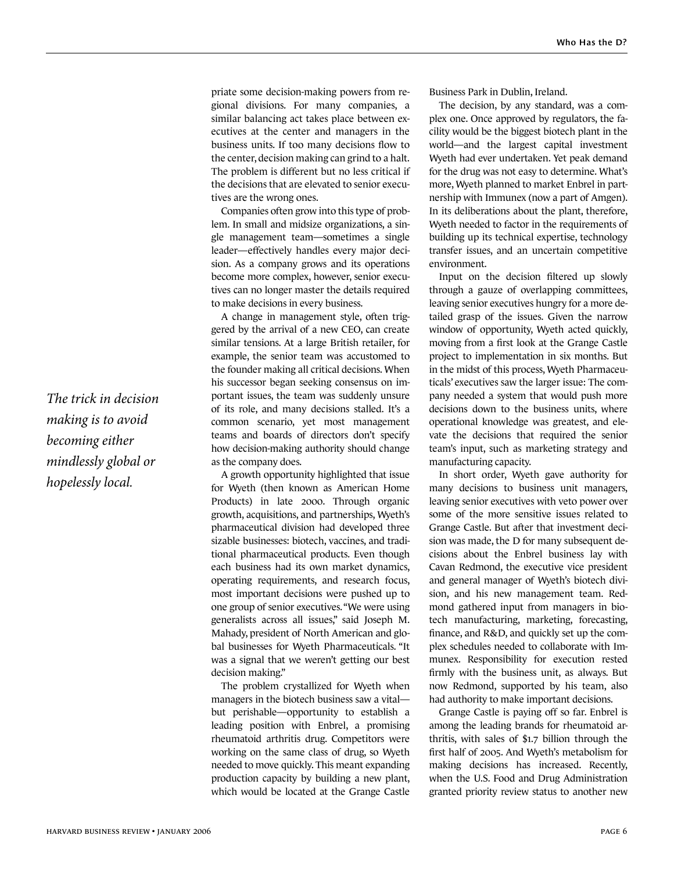priate some decision-making powers from regional divisions. For many companies, a similar balancing act takes place between executives at the center and managers in the business units. If too many decisions flow to the center, decision making can grind to a halt. The problem is different but no less critical if the decisions that are elevated to senior executives are the wrong ones.

Companies often grow into this type of problem. In small and midsize organizations, a single management team—sometimes a single leader—effectively handles every major decision. As a company grows and its operations become more complex, however, senior executives can no longer master the details required to make decisions in every business.

A change in management style, often triggered by the arrival of a new CEO, can create similar tensions. At a large British retailer, for example, the senior team was accustomed to the founder making all critical decisions. When his successor began seeking consensus on important issues, the team was suddenly unsure of its role, and many decisions stalled. It's a common scenario, yet most management teams and boards of directors don't specify how decision-making authority should change as the company does.

A growth opportunity highlighted that issue for Wyeth (then known as American Home Products) in late 2000. Through organic growth, acquisitions, and partnerships, Wyeth's pharmaceutical division had developed three sizable businesses: biotech, vaccines, and traditional pharmaceutical products. Even though each business had its own market dynamics, operating requirements, and research focus, most important decisions were pushed up to one group of senior executives. "We were using generalists across all issues," said Joseph M. Mahady, president of North American and global businesses for Wyeth Pharmaceuticals. "It was a signal that we weren't getting our best decision making."

The problem crystallized for Wyeth when managers in the biotech business saw a vital but perishable—opportunity to establish a leading position with Enbrel, a promising rheumatoid arthritis drug. Competitors were working on the same class of drug, so Wyeth needed to move quickly. This meant expanding production capacity by building a new plant, which would be located at the Grange Castle

Business Park in Dublin, Ireland.

The decision, by any standard, was a complex one. Once approved by regulators, the facility would be the biggest biotech plant in the world—and the largest capital investment Wyeth had ever undertaken. Yet peak demand for the drug was not easy to determine. What's more, Wyeth planned to market Enbrel in partnership with Immunex (now a part of Amgen). In its deliberations about the plant, therefore, Wyeth needed to factor in the requirements of building up its technical expertise, technology transfer issues, and an uncertain competitive environment.

Input on the decision filtered up slowly through a gauze of overlapping committees, leaving senior executives hungry for a more detailed grasp of the issues. Given the narrow window of opportunity, Wyeth acted quickly, moving from a first look at the Grange Castle project to implementation in six months. But in the midst of this process, Wyeth Pharmaceuticals' executives saw the larger issue: The company needed a system that would push more decisions down to the business units, where operational knowledge was greatest, and elevate the decisions that required the senior team's input, such as marketing strategy and manufacturing capacity.

In short order, Wyeth gave authority for many decisions to business unit managers, leaving senior executives with veto power over some of the more sensitive issues related to Grange Castle. But after that investment decision was made, the D for many subsequent decisions about the Enbrel business lay with Cavan Redmond, the executive vice president and general manager of Wyeth's biotech division, and his new management team. Redmond gathered input from managers in biotech manufacturing, marketing, forecasting, finance, and R&D, and quickly set up the complex schedules needed to collaborate with Immunex. Responsibility for execution rested firmly with the business unit, as always. But now Redmond, supported by his team, also had authority to make important decisions.

Grange Castle is paying off so far. Enbrel is among the leading brands for rheumatoid arthritis, with sales of \$1.7 billion through the first half of 2005. And Wyeth's metabolism for making decisions has increased. Recently, when the U.S. Food and Drug Administration granted priority review status to another new

*The trick in decision making is to avoid becoming either mindlessly global or hopelessly local.*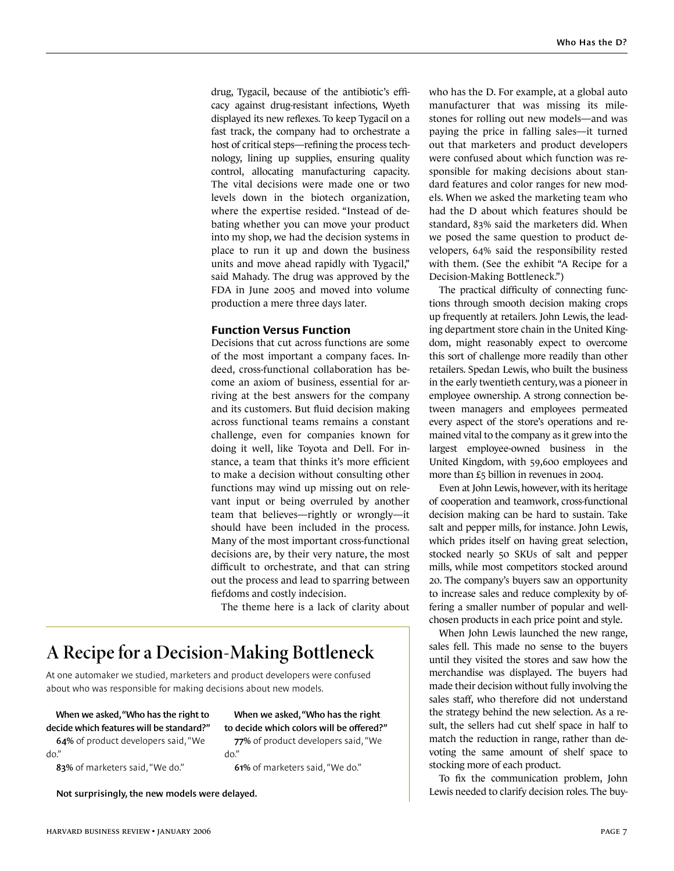drug, Tygacil, because of the antibiotic's efficacy against drug-resistant infections, Wyeth displayed its new reflexes. To keep Tygacil on a fast track, the company had to orchestrate a host of critical steps—refining the process technology, lining up supplies, ensuring quality control, allocating manufacturing capacity. The vital decisions were made one or two levels down in the biotech organization, where the expertise resided. "Instead of debating whether you can move your product into my shop, we had the decision systems in place to run it up and down the business units and move ahead rapidly with Tygacil," said Mahady. The drug was approved by the FDA in June 2005 and moved into volume production a mere three days later.

#### **Function Versus Function**

Decisions that cut across functions are some of the most important a company faces. Indeed, cross-functional collaboration has become an axiom of business, essential for arriving at the best answers for the company and its customers. But fluid decision making across functional teams remains a constant challenge, even for companies known for doing it well, like Toyota and Dell. For instance, a team that thinks it's more efficient to make a decision without consulting other functions may wind up missing out on relevant input or being overruled by another team that believes—rightly or wrongly—it should have been included in the process. Many of the most important cross-functional decisions are, by their very nature, the most difficult to orchestrate, and that can string out the process and lead to sparring between fiefdoms and costly indecision.

The theme here is a lack of clarity about

## **A Recipe for a Decision-Making Bottleneck**

At one automaker we studied, marketers and product developers were confused about who was responsible for making decisions about new models.

**When we asked, "Who has the right to decide which features will be standard?" 64%** of product developers said, "We

do."

**83%** of marketers said, "We do."

**Not surprisingly, the new models were delayed.** 

**When we asked, "Who has the right to decide which colors will be offered?" 77%** of product developers said, "We  $d\Omega$ "

**61%** of marketers said, "We do."

who has the D. For example, at a global auto manufacturer that was missing its milestones for rolling out new models—and was paying the price in falling sales—it turned out that marketers and product developers were confused about which function was responsible for making decisions about standard features and color ranges for new models. When we asked the marketing team who had the D about which features should be standard, 83% said the marketers did. When we posed the same question to product developers, 64% said the responsibility rested with them. (See the exhibit "A Recipe for a Decision-Making Bottleneck.")

The practical difficulty of connecting functions through smooth decision making crops up frequently at retailers. John Lewis, the leading department store chain in the United Kingdom, might reasonably expect to overcome this sort of challenge more readily than other retailers. Spedan Lewis, who built the business in the early twentieth century, was a pioneer in employee ownership. A strong connection between managers and employees permeated every aspect of the store's operations and remained vital to the company as it grew into the largest employee-owned business in the United Kingdom, with 59,600 employees and more than £5 billion in revenues in 2004.

Even at John Lewis, however, with its heritage of cooperation and teamwork, cross-functional decision making can be hard to sustain. Take salt and pepper mills, for instance. John Lewis, which prides itself on having great selection, stocked nearly 50 SKUs of salt and pepper mills, while most competitors stocked around 20. The company's buyers saw an opportunity to increase sales and reduce complexity by offering a smaller number of popular and wellchosen products in each price point and style.

When John Lewis launched the new range, sales fell. This made no sense to the buyers until they visited the stores and saw how the merchandise was displayed. The buyers had made their decision without fully involving the sales staff, who therefore did not understand the strategy behind the new selection. As a result, the sellers had cut shelf space in half to match the reduction in range, rather than devoting the same amount of shelf space to stocking more of each product.

To fix the communication problem, John Lewis needed to clarify decision roles. The buy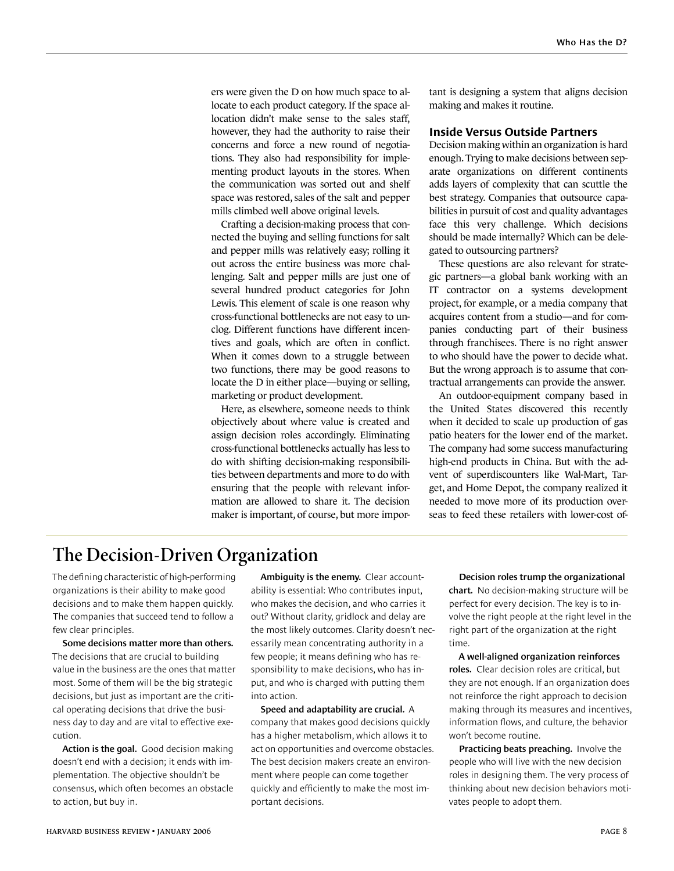ers were given the D on how much space to allocate to each product category. If the space allocation didn't make sense to the sales staff, however, they had the authority to raise their concerns and force a new round of negotiations. They also had responsibility for implementing product layouts in the stores. When the communication was sorted out and shelf space was restored, sales of the salt and pepper mills climbed well above original levels.

Crafting a decision-making process that connected the buying and selling functions for salt and pepper mills was relatively easy; rolling it out across the entire business was more challenging. Salt and pepper mills are just one of several hundred product categories for John Lewis. This element of scale is one reason why cross-functional bottlenecks are not easy to unclog. Different functions have different incentives and goals, which are often in conflict. When it comes down to a struggle between two functions, there may be good reasons to locate the D in either place—buying or selling, marketing or product development.

Here, as elsewhere, someone needs to think objectively about where value is created and assign decision roles accordingly. Eliminating cross-functional bottlenecks actually has less to do with shifting decision-making responsibilities between departments and more to do with ensuring that the people with relevant information are allowed to share it. The decision maker is important, of course, but more important is designing a system that aligns decision making and makes it routine.

#### **Inside Versus Outside Partners**

Decision making within an organization is hard enough. Trying to make decisions between separate organizations on different continents adds layers of complexity that can scuttle the best strategy. Companies that outsource capabilities in pursuit of cost and quality advantages face this very challenge. Which decisions should be made internally? Which can be delegated to outsourcing partners?

These questions are also relevant for strategic partners—a global bank working with an IT contractor on a systems development project, for example, or a media company that acquires content from a studio—and for companies conducting part of their business through franchisees. There is no right answer to who should have the power to decide what. But the wrong approach is to assume that contractual arrangements can provide the answer.

An outdoor-equipment company based in the United States discovered this recently when it decided to scale up production of gas patio heaters for the lower end of the market. The company had some success manufacturing high-end products in China. But with the advent of superdiscounters like Wal-Mart, Target, and Home Depot, the company realized it needed to move more of its production overseas to feed these retailers with lower-cost of-

### **The Decision-Driven Organization**

The defining characteristic of high-performing organizations is their ability to make good decisions and to make them happen quickly. The companies that succeed tend to follow a few clear principles.

**Some decisions matter more than others.**  The decisions that are crucial to building value in the business are the ones that matter most. Some of them will be the big strategic decisions, but just as important are the critical operating decisions that drive the business day to day and are vital to effective execution.

**Action is the goal.** Good decision making doesn't end with a decision; it ends with implementation. The objective shouldn't be consensus, which often becomes an obstacle to action, but buy in.

**Ambiguity is the enemy.** Clear accountability is essential: Who contributes input, who makes the decision, and who carries it out? Without clarity, gridlock and delay are the most likely outcomes. Clarity doesn't necessarily mean concentrating authority in a few people; it means defining who has responsibility to make decisions, who has input, and who is charged with putting them into action.

**Speed and adaptability are crucial.** A company that makes good decisions quickly has a higher metabolism, which allows it to act on opportunities and overcome obstacles. The best decision makers create an environment where people can come together quickly and efficiently to make the most important decisions.

**Decision roles trump the organizational chart.** No decision-making structure will be perfect for every decision. The key is to involve the right people at the right level in the right part of the organization at the right time.

**A well-aligned organization reinforces roles.** Clear decision roles are critical, but they are not enough. If an organization does not reinforce the right approach to decision making through its measures and incentives, information flows, and culture, the behavior won't become routine.

**Practicing beats preaching.** Involve the people who will live with the new decision roles in designing them. The very process of thinking about new decision behaviors motivates people to adopt them.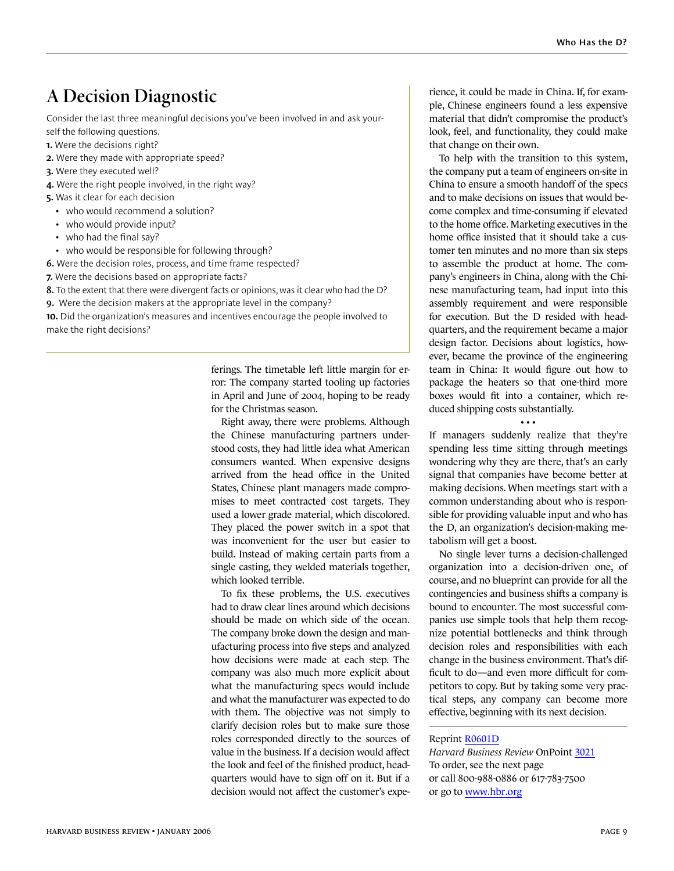## **A Decision Diagnostic**

Consider the last three meaningful decisions you've been involved in and ask yourself the following questions.

- **1.** Were the decisions right?
- **2.** Were they made with appropriate speed?
- **3.** Were they executed well?
- **4.** Were the right people involved, in the right way?
- **5.** Was it clear for each decision
- who would recommend a solution?
- who would provide input?
- who had the final say?
- who would be responsible for following through?
- **6.** Were the decision roles, process, and time frame respected?
- **7.** Were the decisions based on appropriate facts?
- **8.** To the extent that there were divergent facts or opinions, was it clear who had the D?
- **9.** Were the decision makers at the appropriate level in the company?

**10.** Did the organization's measures and incentives encourage the people involved to make the right decisions?

> ferings. The timetable left little margin for error: The company started tooling up factories in April and June of 2004, hoping to be ready for the Christmas season.

> Right away, there were problems. Although the Chinese manufacturing partners understood costs, they had little idea what American consumers wanted. When expensive designs arrived from the head office in the United States, Chinese plant managers made compromises to meet contracted cost targets. They used a lower grade material, which discolored. They placed the power switch in a spot that was inconvenient for the user but easier to build. Instead of making certain parts from a single casting, they welded materials together, which looked terrible.

> To fix these problems, the U.S. executives had to draw clear lines around which decisions should be made on which side of the ocean. The company broke down the design and manufacturing process into five steps and analyzed how decisions were made at each step. The company was also much more explicit about what the manufacturing specs would include and what the manufacturer was expected to do with them. The objective was not simply to clarify decision roles but to make sure those roles corresponded directly to the sources of value in the business. If a decision would affect the look and feel of the finished product, headquarters would have to sign off on it. But if a decision would not affect the customer's expe

rience, it could be made in China. If, for example, Chinese engineers found a less expensive material that didn't compromise the product's look, feel, and functionality, they could make that change on their own.

To help with the transition to this system, the company put a team of engineers on-site in China to ensure a smooth handoff of the specs and to make decisions on issues that would become complex and time-consuming if elevated to the home office. Marketing executives in the home office insisted that it should take a customer ten minutes and no more than six steps to assemble the product at home. The company's engineers in China, along with the Chinese manufacturing team, had input into this assembly requirement and were responsible for execution. But the D resided with headquarters, and the requirement became a major design factor. Decisions about logistics, however, became the province of the engineering team in China: It would figure out how to package the heaters so that one-third more boxes would fit into a container, which reduced shipping costs substantially. • • •

If managers suddenly realize that they're spending less time sitting through meetings wondering why they are there, that's an early signal that companies have become better at making decisions. When meetings start with a common understanding about who is responsible for providing valuable input and who has the D, an organization's decision-making metabolism will get a boost.

No single lever turns a decision-challenged organization into a decision-driven one, of course, and no blueprint can provide for all the contingencies and business shifts a company is bound to encounter. The most successful companies use simple tools that help them recognize potential bottlenecks and think through decision roles and responsibilities with each change in the business environment. That's difficult to do—and even more difficult for competitors to copy. But by taking some very practical steps, any company can become more effective, beginning with its next decision.

#### Reprint [R0601D](http://harvardbusinessonline.hbsp.harvard.edu/relay.jhtml?name=itemdetail&referral=4320&id=R0601D)

*Harvard Business Review* OnPoint [3021](http://harvardbusinessonline.hbsp.harvard.edu/relay.jhtml?name=itemdetail&referral=4320&id=3021) To order, see the next page or call 800-988-0886 or 617-783-7500 or go to [www.hbr.org](http://www.hbr.org)